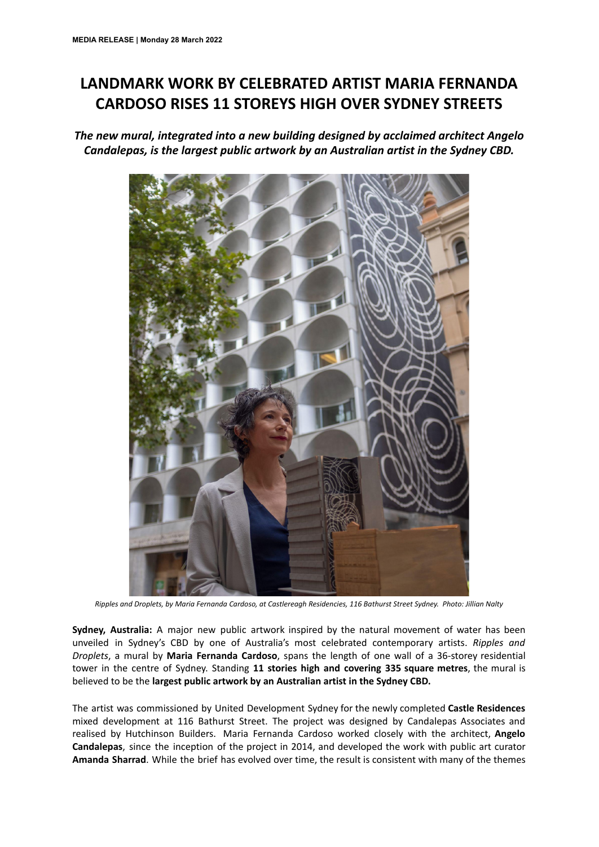## **LANDMARK WORK BY CELEBRATED ARTIST MARIA FERNANDA CARDOSO RISES 11 STOREYS HIGH OVER SYDNEY STREETS**

*The new mural, integrated into a new building designed by acclaimed architect Angelo Candalepas, is the largest public artwork by an Australian artist in the Sydney CBD.*



Ripples and Droplets, by Maria Fernanda Cardoso, at Castlereagh Residencies, 116 Bathurst Street Sydney. Photo: Jillian Nalty

**Sydney, Australia:** A major new public artwork inspired by the natural movement of water has been unveiled in Sydney's CBD by one of Australia's most celebrated contemporary artists. *Ripples and Droplets*, a mural by **Maria Fernanda Cardoso**, spans the length of one wall of a 36-storey residential tower in the centre of Sydney. Standing **11 stories high and covering 335 square metres**, the mural is believed to be the **largest public artwork by an Australian artist in the Sydney CBD.**

The artist was commissioned by United Development Sydney for the newly completed **Castle Residences** mixed development at 116 Bathurst Street. The project was designed by Candalepas Associates and realised by Hutchinson Builders. Maria Fernanda Cardoso worked closely with the architect, **Angelo Candalepas**, since the inception of the project in 2014, and developed the work with public art curator **Amanda Sharrad**. While the brief has evolved over time, the result is consistent with many of the themes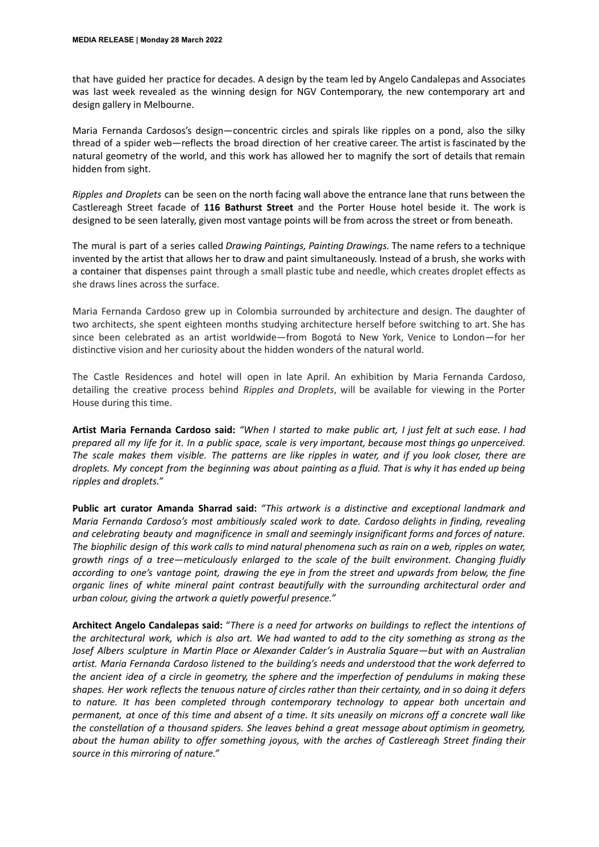that have guided her practice for decades. A design by the team led by Angelo Candalepas and Associates was last week revealed as the winning design for NGV Contemporary, the new contemporary art and design gallery in Melbourne.

Maria Fernanda Cardosos's design—concentric circles and spirals like ripples on a pond, also the silky thread of a spider web—reflects the broad direction of her creative career. The artist is fascinated by the natural geometry of the world, and this work has allowed her to magnify the sort of details that remain hidden from sight.

*Ripples and Droplets* can be seen on the north facing wall above the entrance lane that runs between the Castlereagh Street facade of **116 Bathurst Street** and the Porter House hotel beside it. The work is designed to be seen laterally, given most vantage points will be from across the street or from beneath.

The mural is part of a series called *Drawing Paintings, Painting Drawings.* The name refers to a technique invented by the artist that allows her to draw and paint simultaneously. Instead of a brush, she works with a container that dispenses paint through a small plastic tube and needle, which creates droplet effects as she draws lines across the surface.

Maria Fernanda Cardoso grew up in Colombia surrounded by architecture and design. The daughter of two architects, she spent eighteen months studying architecture herself before switching to art. She has since been celebrated as an artist worldwide—from Bogotá to New York, Venice to London—for her distinctive vision and her curiosity about the hidden wonders of the natural world.

The Castle Residences and hotel will open in late April. An exhibition by Maria Fernanda Cardoso, detailing the creative process behind *Ripples and Droplets*, will be available for viewing in the Porter House during this time.

Artist Maria Fernanda Cardoso said: "When I started to make public art, I just felt at such ease. I had prepared all my life for it. In a public space, scale is very important, because most things go unperceived. The scale makes them visible. The patterns are like ripples in water, and if you look closer, there are droplets. My concept from the beginning was about painting as a fluid. That is why it has ended up being *ripples and droplets."*

**Public art curator Amanda Sharrad said:** *"This artwork is a distinctive and exceptional landmark and Maria Fernanda Cardoso's most ambitiously scaled work to date. Cardoso delights in finding, revealing and celebrating beauty and magnificence in small and seemingly insignificant forms and forces of nature.* The biophilic design of this work calls to mind natural phenomena such as rain on a web, ripples on water, *growth rings of a tree—meticulously enlarged to the scale of the built environment. Changing fluidly* according to one's vantage point, drawing the eye in from the street and upwards from below, the fine *organic lines of white mineral paint contrast beautifully with the surrounding architectural order and urban colour, giving the artwork a quietly powerful presence."*

**Architect Angelo Candalepas said:** "*There is a need for artworks on buildings to reflect the intentions of* the architectural work, which is also art. We had wanted to add to the city something as strong as the *Josef Albers sculpture in Martin Place or Alexander Calder's in Australia Square—but with an Australian artist. Maria Fernanda Cardoso listened to the building's needs and understood that the work deferred to* the ancient idea of a circle in geometry, the sphere and the imperfection of pendulums in making these shapes. Her work reflects the tenuous nature of circles rather than their certainty, and in so doing it defers *to nature. It has been completed through contemporary technology to appear both uncertain and* permanent, at once of this time and absent of a time. It sits uneasily on microns off a concrete wall like *the constellation of a thousand spiders. She leaves behind a great message about optimism in geometry, about the human ability to offer something joyous, with the arches of Castlereagh Street finding their source in this mirroring of nature."*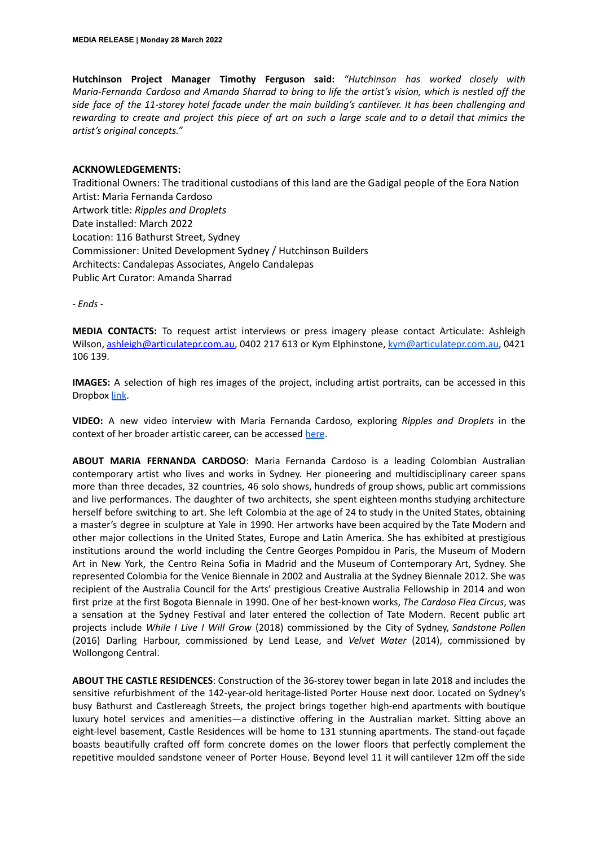**Hutchinson Project Manager Timothy Ferguson said:** *"Hutchinson has worked closely with Maria-Fernanda Cardoso and Amanda Sharrad to bring to life the artist's vision, which is nestled off the side face of the 11-storey hotel facade under the main building's cantilever. It has been challenging and* rewarding to create and project this piece of art on such a large scale and to a detail that mimics the *artist's original concepts."*

## **ACKNOWLEDGEMENTS:**

Traditional Owners: The traditional custodians of this land are the Gadigal people of the Eora Nation Artist: Maria Fernanda Cardoso Artwork title: *Ripples and Droplets* Date installed: March 2022 Location: 116 Bathurst Street, Sydney Commissioner: United Development Sydney / Hutchinson Builders Architects: Candalepas Associates, Angelo Candalepas Public Art Curator: Amanda Sharrad

*- Ends -*

**MEDIA CONTACTS:** To request artist interviews or press imagery please contact Articulate: Ashleigh Wilson, [ashleigh@articulatepr.com.au,](mailto:ashleigh@articulatepr.com.au) 0402 217 613 or Kym Elphinstone, [kym@articulatepr.com.au](mailto:kym@articulatepr.com.au), 0421 106 139.

**IMAGES:** A selection of high res images of the project, including artist portraits, can be accessed in this Dropbox [link.](https://www.dropbox.com/sh/fefyggciryl2kw4/AAC4O3-GGLb78WCCyhM00Nnca?dl=0)

**VIDEO:** A new video interview with Maria Fernanda Cardoso, exploring *Ripples and Droplets* in the context of her broader artistic career, can be accessed [here](https://vimeo.com/673476925/79f608190d).

**ABOUT MARIA FERNANDA CARDOSO**: Maria Fernanda Cardoso is a leading Colombian Australian contemporary artist who lives and works in Sydney. Her pioneering and multidisciplinary career spans more than three decades, 32 countries, 46 solo shows, hundreds of group shows, public art commissions and live performances. The daughter of two architects, she spent eighteen months studying architecture herself before switching to art. She left Colombia at the age of 24 to study in the United States, obtaining a master's degree in sculpture at Yale in 1990. Her artworks have been acquired by the Tate Modern and other major collections in the United States, Europe and Latin America. She has exhibited at prestigious institutions around the world including the Centre Georges Pompidou in Paris, the Museum of Modern Art in New York, the Centro Reina Sofia in Madrid and the Museum of Contemporary Art, Sydney. She represented Colombia for the Venice Biennale in 2002 and Australia at the Sydney Biennale 2012. She was recipient of the Australia Council for the Arts' prestigious Creative Australia Fellowship in 2014 and won first prize at the first Bogota Biennale in 1990. One of her best-known works, *The Cardoso Flea Circus*, was a sensation at the Sydney Festival and later entered the collection of Tate Modern. Recent public art projects include *While I Live I Will Grow* (2018) commissioned by the City of Sydney, *Sandstone Pollen* (2016) Darling Harbour, commissioned by Lend Lease, and *Velvet Water* (2014), commissioned by Wollongong Central.

**ABOUT THE CASTLE RESIDENCES**: Construction of the 36-storey tower began in late 2018 and includes the sensitive refurbishment of the 142-year-old heritage-listed Porter House next door. Located on Sydney's busy Bathurst and Castlereagh Streets, the project brings together high-end apartments with boutique luxury hotel services and amenities—a distinctive offering in the Australian market. Sitting above an eight-level basement, Castle Residences will be home to 131 stunning apartments. The stand-out façade boasts beautifully crafted off form concrete domes on the lower floors that perfectly complement the repetitive moulded sandstone veneer of Porter House. Beyond level 11 it will cantilever 12m off the side